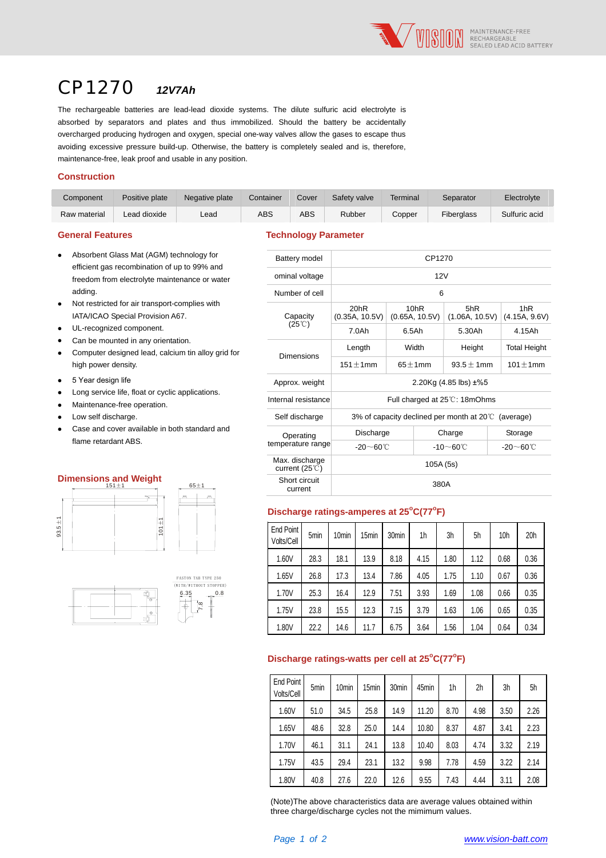

# CP1270 *12V7Ah*

The rechargeable batteries are lead-lead dioxide systems. The dilute sulfuric acid electrolyte is absorbed by separators and plates and thus immobilized. Should the battery be accidentally overcharged producing hydrogen and oxygen, special one-way valves allow the gases to escape thus avoiding excessive pressure build-up. Otherwise, the battery is completely sealed and is, therefore, maintenance-free, leak proof and usable in any position.

#### **Construction**

| Component    | Positive plate | Negative plate | Container | Cover | Safety valve | Terminal | Separator  | Electrolyte   |
|--------------|----------------|----------------|-----------|-------|--------------|----------|------------|---------------|
| Raw material | Lead dioxide   | ∟ead           | ABS       | ABS   | Rubber       | Copper   | Fiberalass | Sulfuric acid |

**General Features Technology Parameter** 

| $\bullet$ | Absorbent Glass Mat (AGM) technology for      |
|-----------|-----------------------------------------------|
|           | efficient gas recombination of up to 99% and  |
|           | freedom from electrolyte maintenance or water |
|           | adding.                                       |

- Not restricted for air transport-complies with IATA/ICAO Special Provision A67.
- UL-recognized component.
- Can be mounted in any orientation.
- Computer designed lead, calcium tin alloy grid for high power density.
- 5 Year design life
- Long service life, float or cyclic applications.
- Maintenance-free operation.
- Low self discharge.
- Case and cover available in both standard and flame retardant ABS.

#### **Dimensions and Weight**





| i Glass Mat (AGM) technology for                                                                                                                                                                                          | Battery model                                                                 | CP1270                       |                        |                       |                      |  |  |
|---------------------------------------------------------------------------------------------------------------------------------------------------------------------------------------------------------------------------|-------------------------------------------------------------------------------|------------------------------|------------------------|-----------------------|----------------------|--|--|
| $65 \pm 1$                                                                                                                                                                                                                | ominal voltage                                                                | 12V                          |                        |                       |                      |  |  |
|                                                                                                                                                                                                                           | Number of cell                                                                |                              | 6                      |                       |                      |  |  |
| ted for air transport-complies with<br>Corporal Provision A67.                                                                                                                                                            | Capacity                                                                      | 20hR<br>(0.35A, 10.5V)       | 10hR<br>(0.65A, 10.5V) | 5hR<br>(1.06A, 10.5V) | 1hR<br>(4.15A, 9.6V) |  |  |
| as recombination of up to 99% and<br>rom electrolyte maintenance or water<br>nized component.<br>ounted in any orientation.<br>ice life, float or cyclic applications.<br>rdant ABS.<br><b>Contract Contract Contract</b> | $(25^{\circ}\text{C})$                                                        | 7.0Ah                        | 6.5Ah                  | 5.30Ah                | 4.15Ah               |  |  |
| designed lead, calcium tin alloy grid for                                                                                                                                                                                 | <b>Dimensions</b>                                                             | Length                       | Width                  | Height                | <b>Total Height</b>  |  |  |
| r density.                                                                                                                                                                                                                |                                                                               | $151 \pm 1$ mm               | $65 \pm 1$ mm          | $93.5 \pm 1$ mm       | $101 \pm 1$ mm       |  |  |
| sign life                                                                                                                                                                                                                 | Approx. weight                                                                | 2.20Kg (4.85 lbs) $\pm\%5$   |                        |                       |                      |  |  |
| nce-free operation.                                                                                                                                                                                                       | Internal resistance                                                           | Full charged at 25℃: 18mOhms |                        |                       |                      |  |  |
| lischarge.                                                                                                                                                                                                                | Self discharge<br>3% of capacity declined per month at $20^{\circ}$ (average) |                              |                        |                       |                      |  |  |
| cover available in both standard and                                                                                                                                                                                      | Operating                                                                     | Discharge                    |                        | Charge                | Storage              |  |  |
|                                                                                                                                                                                                                           | temperature range                                                             | -20 $\sim$ 60°C              |                        | $-10$ ~60°C           | -20 $\sim$ 60°C      |  |  |
|                                                                                                                                                                                                                           | Max. discharge<br>current $(25^{\circ}$ C)                                    |                              | 105A (5s)              |                       |                      |  |  |
| s and Weight<br>$151 + 1$                                                                                                                                                                                                 | Short circuit<br>current                                                      | 380A                         |                        |                       |                      |  |  |
|                                                                                                                                                                                                                           |                                                                               |                              |                        |                       |                      |  |  |

## Discharge ratings-amperes at 25°C(77°F)

| End Point<br>Volts/Cell | 5min | 10 <sub>min</sub> | 15 <sub>min</sub> | 30 <sub>min</sub> | 1h   | 3h   | 5h   | 10 <sub>h</sub> | 20 <sub>h</sub> |
|-------------------------|------|-------------------|-------------------|-------------------|------|------|------|-----------------|-----------------|
| 1.60V                   | 28.3 | 18.1              | 13.9              | 8.18              | 4.15 | 1.80 | 1.12 | 0.68            | 0.36            |
| 1.65V                   | 26.8 | 17.3              | 13.4              | 7.86              | 4.05 | 1.75 | 1.10 | 0.67            | 0.36            |
| 1.70V                   | 25.3 | 16.4              | 12.9              | 7.51              | 3.93 | 1.69 | 1.08 | 0.66            | 0.35            |
| 1.75V                   | 23.8 | 15.5              | 12.3              | 7.15              | 3.79 | 1.63 | 1.06 | 0.65            | 0.35            |
| 1.80V                   | 22.2 | 14.6              | 11.7              | 6.75              | 3.64 | 1.56 | 1.04 | 0.64            | 0.34            |

### **Discharge ratings-watts per cell at 25°C(77°F)**

| End Point<br>Volts/Cell | 5min | 10 <sub>min</sub> | 15 <sub>min</sub> | 30 <sub>min</sub> | 45min | 1h   | 2h   | 3h   | 5h   |
|-------------------------|------|-------------------|-------------------|-------------------|-------|------|------|------|------|
| 1.60V                   | 51.0 | 34.5              | 25.8              | 14.9              | 11.20 | 8.70 | 4.98 | 3.50 | 2.26 |
| 1.65V                   | 48.6 | 32.8              | 25.0              | 14.4              | 10.80 | 8.37 | 4.87 | 3.41 | 2.23 |
| 1.70V                   | 46.1 | 31.1              | 24.1              | 13.8              | 10.40 | 8.03 | 4.74 | 3.32 | 2.19 |
| 1.75V                   | 43.5 | 29.4              | 23.1              | 13.2              | 9.98  | 7.78 | 4.59 | 3.22 | 2.14 |
| 1.80V                   | 40.8 | 27.6              | 22.0              | 12.6              | 9.55  | 7.43 | 4.44 | 3.11 | 2.08 |

(Note)The above characteristics data are average values obtained within three charge/discharge cycles not the mimimum values.